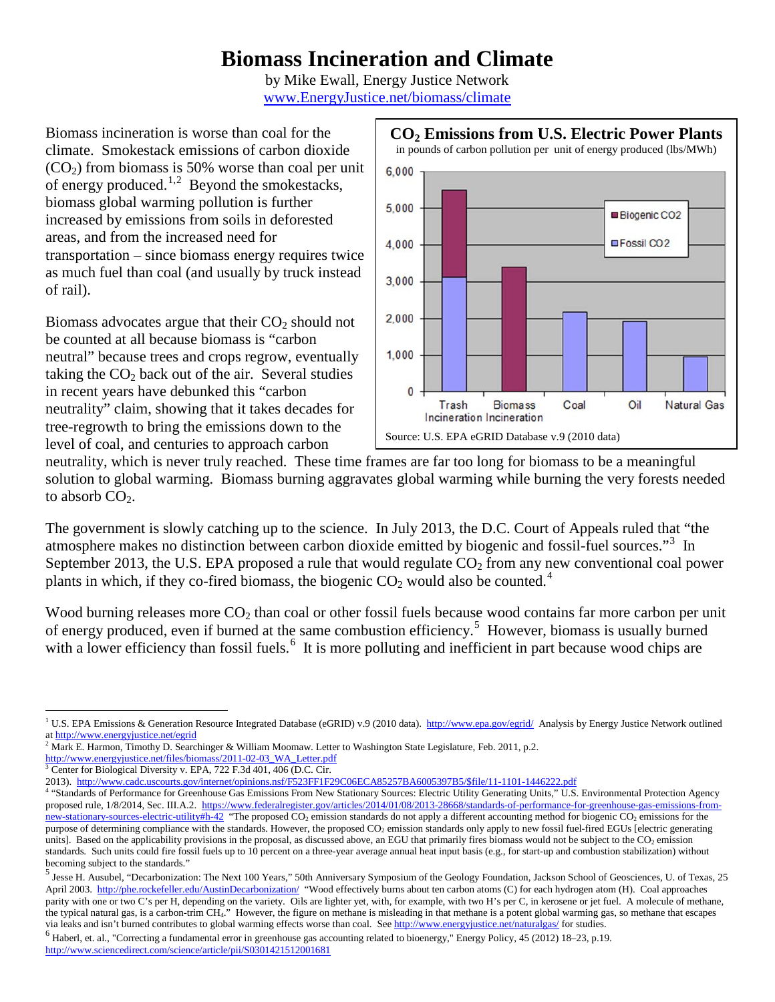# **Biomass Incineration and Climate**

by Mike Ewall, Energy Justice Network [www.EnergyJustice.net/biomass/climate](http://www.energyjustice.net/biomass/climate)

Biomass incineration is worse than coal for the climate. Smokestack emissions of carbon dioxide  $(CO<sub>2</sub>)$  from biomass is 50% worse than coal per unit of energy produced.<sup>[1,](#page-0-0)[2](#page-0-1)</sup> Beyond the smokestacks, biomass global warming pollution is further increased by emissions from soils in deforested areas, and from the increased need for transportation – since biomass energy requires twice as much fuel than coal (and usually by truck instead of rail).

Biomass advocates argue that their  $CO<sub>2</sub>$  should not be counted at all because biomass is "carbon neutral" because trees and crops regrow, eventually taking the  $CO<sub>2</sub>$  back out of the air. Several studies in recent years have debunked this "carbon neutrality" claim, showing that it takes decades for tree-regrowth to bring the emissions down to the level of coal, and centuries to approach carbon



neutrality, which is never truly reached. These time frames are far too long for biomass to be a meaningful solution to global warming. Biomass burning aggravates global warming while burning the very forests needed to absorb  $CO<sub>2</sub>$ .

The government is slowly catching up to the science. In July 2013, the D.C. Court of Appeals ruled that "the atmosphere makes no distinction between carbon dioxide emitted by biogenic and fossil-fuel sources."[3](#page-0-2) In September 2013, the U.S. EPA proposed a rule that would regulate  $CO<sub>2</sub>$  from any new conventional coal power plants in which, if they co-fired biomass, the biogenic  $CO<sub>2</sub>$  would also be counted.<sup>[4](#page-0-3)</sup>

Wood burning releases more CO<sub>2</sub> than coal or other fossil fuels because wood contains far more carbon per unit of energy produced, even if burned at the same combustion efficiency.<sup>[5](#page-0-4)</sup> However, biomass is usually burned with a lower efficiency than fossil fuels.<sup>[6](#page-0-5)</sup> It is more polluting and inefficient in part because wood chips are

<span id="page-0-0"></span><sup>&</sup>lt;sup>1</sup> U.S. EPA Emissions & Generation Resource Integrated Database (eGRID) v.9 (2010 data).<http://www.epa.gov/egrid/>Analysis by Energy Justice Network outlined at<http://www.energyjustice.net/egrid>

<span id="page-0-1"></span><sup>&</sup>lt;sup>2</sup> Mark E. Harmon, Timothy D. Searchinger & William Moomaw. Letter to Washington State Legislature, Feb. 2011, p.2.

[http://www.energyjustice.net/files/biomass/2011-02-03\\_WA\\_Letter.pdf](http://www.energyjustice.net/files/biomass/2011-02-03_WA_Letter.pdf)

<span id="page-0-2"></span><sup>&</sup>lt;sup>3</sup> Center for Biological Diversity v. EPA, 722 F.3d 401, 406 (D.C. Cir.

<span id="page-0-3"></span><sup>2013).</sup> [http://www.cadc.uscourts.gov/internet/opinions.nsf/F523FF1F29C06ECA85257BA6005397B5/\\$file/11-1101-1446222.pdf](http://www.cadc.uscourts.gov/internet/opinions.nsf/F523FF1F29C06ECA85257BA6005397B5/$file/11-1101-1446222.pdf)<br><sup>4</sup> "Standards of Performance for Greenhouse Gas Emissions From New Stationary Sources: Electric Utility proposed rule, 1/8/2014, Sec. III.A.2. [https://www.federalregister.gov/articles/2014/01/08/2013-28668/standards-of-performance-for-greenhouse-gas-emissions-from](https://www.federalregister.gov/articles/2014/01/08/2013-28668/standards-of-performance-for-greenhouse-gas-emissions-from-new-stationary-sources-electric-utility#h-42)[new-stationary-sources-electric-utility#h-42](https://www.federalregister.gov/articles/2014/01/08/2013-28668/standards-of-performance-for-greenhouse-gas-emissions-from-new-stationary-sources-electric-utility#h-42) "The proposed CO<sub>2</sub> emission standards do not apply a different accounting method for biogenic CO<sub>2</sub> emissions for the purpose of determining compliance with the standards. However, the proposed CO<sub>2</sub> emission standards only apply to new fossil fuel-fired EGUs [electric generating units]. Based on the applicability provisions in the proposal, as discussed above, an EGU that primarily fires biomass would not be subject to the CO<sub>2</sub> emission standards. Such units could fire fossil fuels up to 10 percent on a three-year average annual heat input basis (e.g., for start-up and combustion stabilization) without becoming subject to the standards."

<span id="page-0-4"></span><sup>&</sup>lt;sup>5</sup> Jesse H. Ausubel, "Decarbonization: The Next 100 Years," 50th Anniversary Symposium of the Geology Foundation, Jackson School of Geosciences, U. of Texas, 25 April 2003. <http://phe.rockefeller.edu/AustinDecarbonization/>"Wood effectively burns about ten carbon atoms (C) for each hydrogen atom (H). Coal approaches parity with one or two C's per H, depending on the variety. Oils are lighter yet, with, for example, with two H's per C, in kerosene or jet fuel. A molecule of methane, the typical natural gas, is a carbon-trim CH<sub>4</sub>." However, the figure on methane is misleading in that methane is a potent global warming gas, so methane that escapes via leaks and isn't burned contributes to global warmin

<span id="page-0-5"></span> $<sup>6</sup>$  Haberl, et. al., "Correcting a fundamental error in greenhouse gas accounting related to bioenergy," Energy Policy, 45 (2012) 18-23, p.19.</sup> <http://www.sciencedirect.com/science/article/pii/S0301421512001681>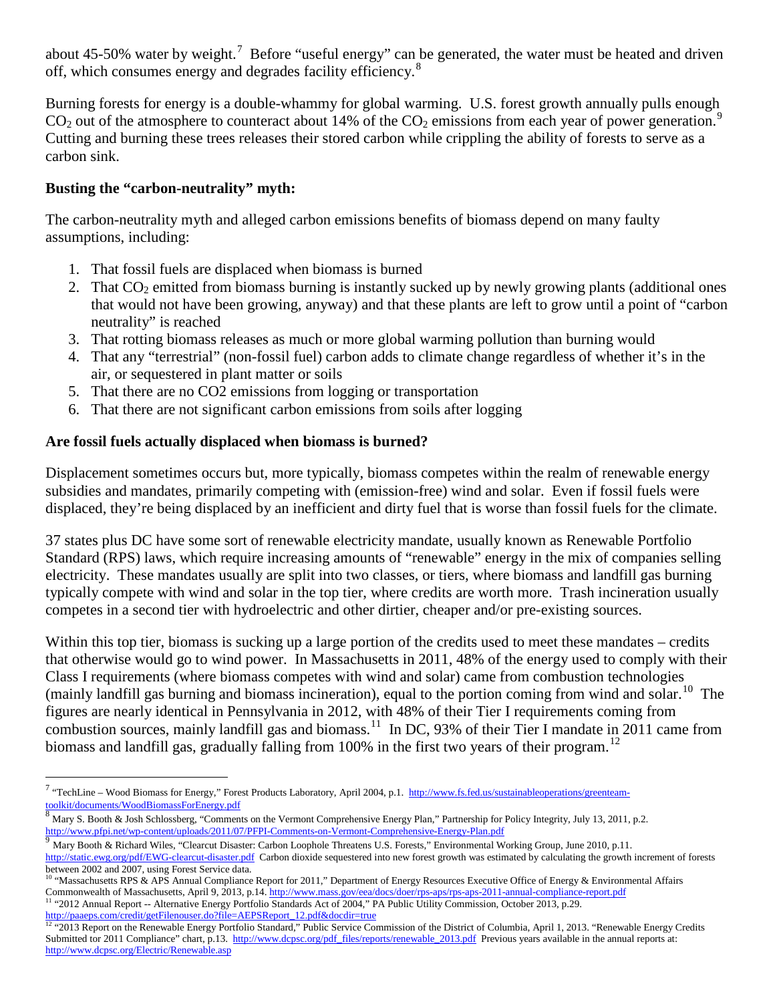about 45-50% water by weight.<sup>[7](#page-1-0)</sup> Before "useful energy" can be generated, the water must be heated and driven off, which consumes energy and degrades facility efficiency.<sup>[8](#page-1-1)</sup>

Burning forests for energy is a double-whammy for global warming. U.S. forest growth annually pulls enough  $CO<sub>2</sub>$  out of the atmosphere to counteract about 14% of the  $CO<sub>2</sub>$  emissions from each year of power generation.<sup>[9](#page-1-2)</sup> Cutting and burning these trees releases their stored carbon while crippling the ability of forests to serve as a carbon sink.

### **Busting the "carbon-neutrality" myth:**

The carbon-neutrality myth and alleged carbon emissions benefits of biomass depend on many faulty assumptions, including:

- 1. That fossil fuels are displaced when biomass is burned
- 2. That  $CO<sub>2</sub>$  emitted from biomass burning is instantly sucked up by newly growing plants (additional ones that would not have been growing, anyway) and that these plants are left to grow until a point of "carbon neutrality" is reached
- 3. That rotting biomass releases as much or more global warming pollution than burning would
- 4. That any "terrestrial" (non-fossil fuel) carbon adds to climate change regardless of whether it's in the air, or sequestered in plant matter or soils
- 5. That there are no CO2 emissions from logging or transportation
- 6. That there are not significant carbon emissions from soils after logging

## **Are fossil fuels actually displaced when biomass is burned?**

Displacement sometimes occurs but, more typically, biomass competes within the realm of renewable energy subsidies and mandates, primarily competing with (emission-free) wind and solar. Even if fossil fuels were displaced, they're being displaced by an inefficient and dirty fuel that is worse than fossil fuels for the climate.

37 states plus DC have some sort of renewable electricity mandate, usually known as Renewable Portfolio Standard (RPS) laws, which require increasing amounts of "renewable" energy in the mix of companies selling electricity. These mandates usually are split into two classes, or tiers, where biomass and landfill gas burning typically compete with wind and solar in the top tier, where credits are worth more. Trash incineration usually competes in a second tier with hydroelectric and other dirtier, cheaper and/or pre-existing sources.

Within this top tier, biomass is sucking up a large portion of the credits used to meet these mandates – credits that otherwise would go to wind power. In Massachusetts in 2011, 48% of the energy used to comply with their Class I requirements (where biomass competes with wind and solar) came from combustion technologies (mainly landfill gas burning and biomass incineration), equal to the portion coming from wind and solar.<sup>10</sup> The figures are nearly identical in Pennsylvania in 2012, with 48% of their Tier I requirements coming from combustion sources, mainly landfill gas and biomass.<sup>[11](#page-1-4)</sup> In DC, 93% of their Tier I mandate in 2011 came from biomass and landfill gas, gradually falling from 100% in the first two years of their program.<sup>[12](#page-1-5)</sup>

<span id="page-1-4"></span><sup>11</sup> "2012 Annual Report -- Alternative Energy Portfolio Standards Act of 2004," PA Public Utility Commission, October 2013, p.29. [http://paaeps.com/credit/getFilenouser.do?file=AEPSReport\\_12.pdf&docdir=true](http://paaeps.com/credit/getFilenouser.do?file=AEPSReport_12.pdf&docdir=true)

<span id="page-1-0"></span><sup>&</sup>lt;sup>7</sup> "TechLine – Wood Biomass for Energy," Forest Products Laboratory, April 2004, p.1. [http://www.fs.fed.us/sustainableoperations/greenteam](http://www.fs.fed.us/sustainableoperations/greenteam-toolkit/documents/WoodBiomassForEnergy.pdf)[toolkit/documents/WoodBiomassForEnergy.pdf](http://www.fs.fed.us/sustainableoperations/greenteam-toolkit/documents/WoodBiomassForEnergy.pdf)

<span id="page-1-1"></span><sup>&</sup>lt;sup>8</sup> Mary S. Booth & Josh Schlossberg, "Comments on the Vermont Comprehensive Energy Plan," Partnership for Policy Integrity, July 13, 2011, p.2. <http://www.pfpi.net/wp-content/uploads/2011/07/PFPI-Comments-on-Vermont-Comprehensive-Energy-Plan.pdf><br><sup>9</sup> Mary Booth & Richard Wiles, "Clearcut Disaster: Carbon Loophole Threatens U.S. Forests," Environmental Working Group

<span id="page-1-2"></span>

<http://static.ewg.org/pdf/EWG-clearcut-disaster.pdf>Carbon dioxide sequestered into new forest growth was estimated by calculating the growth increment of forests

<span id="page-1-3"></span>between 2002 and 2007, using Forest Service data.<br><sup>10</sup> "Massachusetts RPS & APS Annual Compliance Report for 2011," Department of Energy Resources Executive Office of Energy & Environmental Affairs Commonwealth of Massachusetts, April 9, 2013, p.14[. http://www.mass.gov/eea/docs/doer/rps-aps/rps-aps-2011-annual-compliance-report.pdf](http://www.mass.gov/eea/docs/doer/rps-aps/rps-aps-2011-annual-compliance-report.pdf)

<span id="page-1-5"></span><sup>&</sup>lt;sup>12 "2</sup>013 Report on the Renewable Energy Portfolio Standard," Public Service Commission of the District of Columbia, April 1, 2013. "Renewable Energy Credits Submitted tor 2011 Compliance" chart, p.13. [http://www.dcpsc.org/pdf\\_files/reports/renewable\\_2013.pdf](http://www.dcpsc.org/pdf_files/reports/renewable_2013.pdf) Previous years available in the annual reports at: <http://www.dcpsc.org/Electric/Renewable.asp>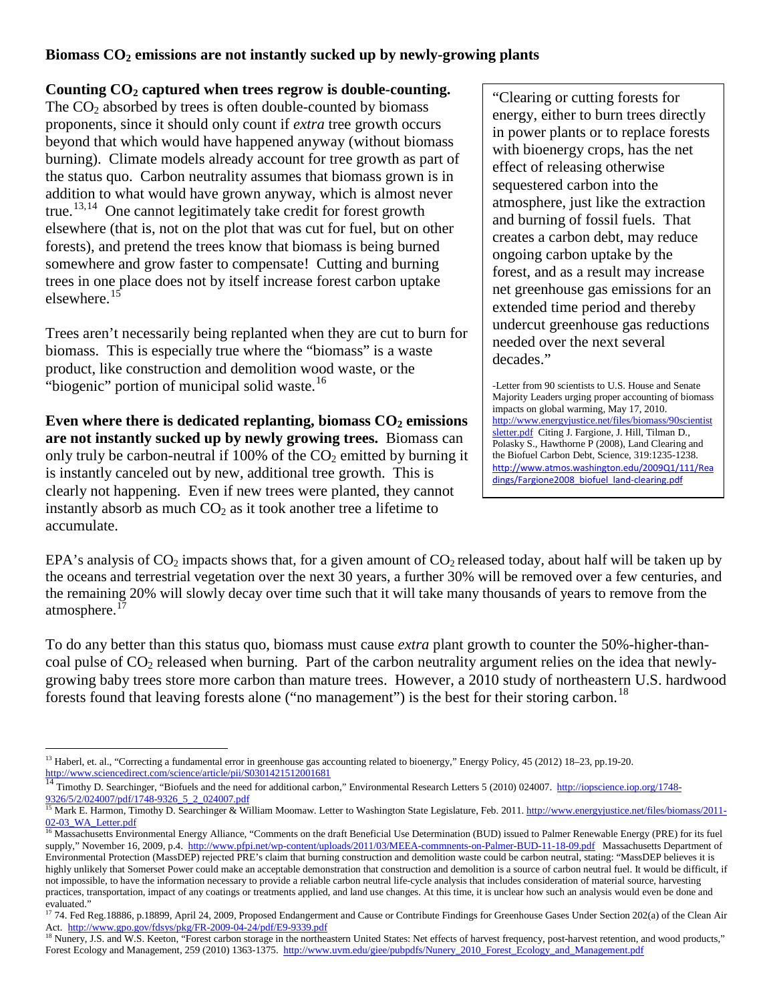### **Biomass CO2 emissions are not instantly sucked up by newly-growing plants**

#### **Counting CO2 captured when trees regrow is double-counting.**

The  $CO<sub>2</sub>$  absorbed by trees is often double-counted by biomass proponents, since it should only count if *extra* tree growth occurs beyond that which would have happened anyway (without biomass burning). Climate models already account for tree growth as part of the status quo. Carbon neutrality assumes that biomass grown is in addition to what would have grown anyway, which is almost never true.[13](#page-2-0),[14](#page-2-1)One cannot legitimately take credit for forest growth elsewhere (that is, not on the plot that was cut for fuel, but on other forests), and pretend the trees know that biomass is being burned somewhere and grow faster to compensate! Cutting and burning trees in one place does not by itself increase forest carbon uptake elsewhere.<sup>[15](#page-2-2)</sup>

Trees aren't necessarily being replanted when they are cut to burn for biomass. This is especially true where the "biomass" is a waste product, like construction and demolition wood waste, or the "biogenic" portion of municipal solid waste.<sup>[16](#page-2-3)</sup>

Even where there is dedicated replanting, biomass  $CO<sub>2</sub>$  emissions **are not instantly sucked up by newly growing trees.** Biomass can only truly be carbon-neutral if 100% of the  $CO<sub>2</sub>$  emitted by burning it is instantly canceled out by new, additional tree growth. This is clearly not happening. Even if new trees were planted, they cannot instantly absorb as much  $CO<sub>2</sub>$  as it took another tree a lifetime to accumulate.

"Clearing or cutting forests for energy, either to burn trees directly in power plants or to replace forests with bioenergy crops, has the net effect of releasing otherwise sequestered carbon into the atmosphere, just like the extraction and burning of fossil fuels. That creates a carbon debt, may reduce ongoing carbon uptake by the forest, and as a result may increase net greenhouse gas emissions for an extended time period and thereby undercut greenhouse gas reductions needed over the next several decades."

-Letter from 90 scientists to U.S. House and Senate Majority Leaders urging proper accounting of biomass impacts on global warming, May 17, 2010. [http://www.energyjustice.net/files/biomass/90scientist](http://www.energyjustice.net/files/biomass/90scientistsletter.pdf) [sletter.pdf](http://www.energyjustice.net/files/biomass/90scientistsletter.pdf) Citing J. Fargione, J. Hill, Tilman D., Polasky S., Hawthorne P (2008), Land Clearing and the Biofuel Carbon Debt, Science, 319:1235-1238. [http://www.atmos.washington.edu/2009Q1/111/Rea](http://www.atmos.washington.edu/2009Q1/111/Readings/Fargione2008_biofuel_land-clearing.pdf) [dings/Fargione2008\\_biofuel\\_land-clearing.pdf](http://www.atmos.washington.edu/2009Q1/111/Readings/Fargione2008_biofuel_land-clearing.pdf)

EPA's analysis of  $CO_2$  impacts shows that, for a given amount of  $CO_2$  released today, about half will be taken up by the oceans and terrestrial vegetation over the next 30 years, a further 30% will be removed over a few centuries, and the remaining 20% will slowly decay over time such that it will take many thousands of years to remove from the atmosphere.<sup>[17](#page-2-4)</sup>

To do any better than this status quo, biomass must cause *extra* plant growth to counter the 50%-higher-thancoal pulse of  $CO<sub>2</sub>$  released when burning. Part of the carbon neutrality argument relies on the idea that newlygrowing baby trees store more carbon than mature trees. However, a 2010 study of northeastern U.S. hardwood forests found that leaving forests alone ("no management") is the best for their storing carbon.<sup>[18](#page-2-5)</sup>

<span id="page-2-0"></span><sup>&</sup>lt;sup>13</sup> Haberl, et. al., "Correcting a fundamental error in greenhouse gas accounting related to bioenergy," Energy Policy, 45 (2012) 18–23, pp.19-20.<br>http://www.sciencedirect.com/science/article/pii/S0301421512001681

<span id="page-2-1"></span>http://iopscience.iop.org/1748-<br>9326/5/2/024007/pdf/1748-9326\_5\_2\_024007.pdf<br>9326/5/2/024007/pdf/1748-9326\_5\_2\_024007.pdf

<span id="page-2-2"></span><sup>&</sup>lt;sup>15</sup> Mark E. Harmon, Timothy D. Searchinger & William Moomaw. Letter to Washington State Legislature, Feb. 2011. [http://www.energyjustice.net/files/biomass/2011-](http://www.energyjustice.net/files/biomass/2011-02-03_WA_Letter.pdf) [02-03\\_WA\\_Letter.pdf](http://www.energyjustice.net/files/biomass/2011-02-03_WA_Letter.pdf)

<span id="page-2-3"></span><sup>&</sup>lt;sup>16</sup> Massachusetts Environmental Energy Alliance, "Comments on the draft Beneficial Use Determination (BUD) issued to Palmer Renewable Energy (PRE) for its fuel supply," November 16, 2009, p.4.<http://www.pfpi.net/wp-content/uploads/2011/03/MEEA-commnents-on-Palmer-BUD-11-18-09.pdf>Massachusetts Department of Environmental Protection (MassDEP) rejected PRE's claim that burning construction and demolition waste could be carbon neutral, stating: "MassDEP believes it is highly unlikely that Somerset Power could make an acceptable demonstration that construction and demolition is a source of carbon neutral fuel. It would be difficult, if not impossible, to have the information necessary to provide a reliable carbon neutral life-cycle analysis that includes consideration of material source, harvesting practices, transportation, impact of any coatings or treatments applied, and land use changes. At this time, it is unclear how such an analysis would even be done and

<span id="page-2-4"></span>evaluated."<br><sup>17</sup> 74. Fed Reg.18886, p.18899, April 24, 2009, Proposed Endangerment and Cause or Contribute Findings for Greenhouse Gases Under Section 202(a) of the Clean Air Act.<http://www.gpo.gov/fdsys/pkg/FR-2009-04-24/pdf/E9-9339.pdf>

<span id="page-2-5"></span><sup>&</sup>lt;sup>18</sup> Nunery, J.S. and W.S. Keeton, "Forest carbon storage in the northeastern United States: Net effects of harvest frequency, post-harvest retention, and wood products," Forest Ecology and Management, 259 (2010) 1363-1375. [http://www.uvm.edu/giee/pubpdfs/Nunery\\_2010\\_Forest\\_Ecology\\_and\\_Management.pdf](http://www.uvm.edu/giee/pubpdfs/Nunery_2010_Forest_Ecology_and_Management.pdf)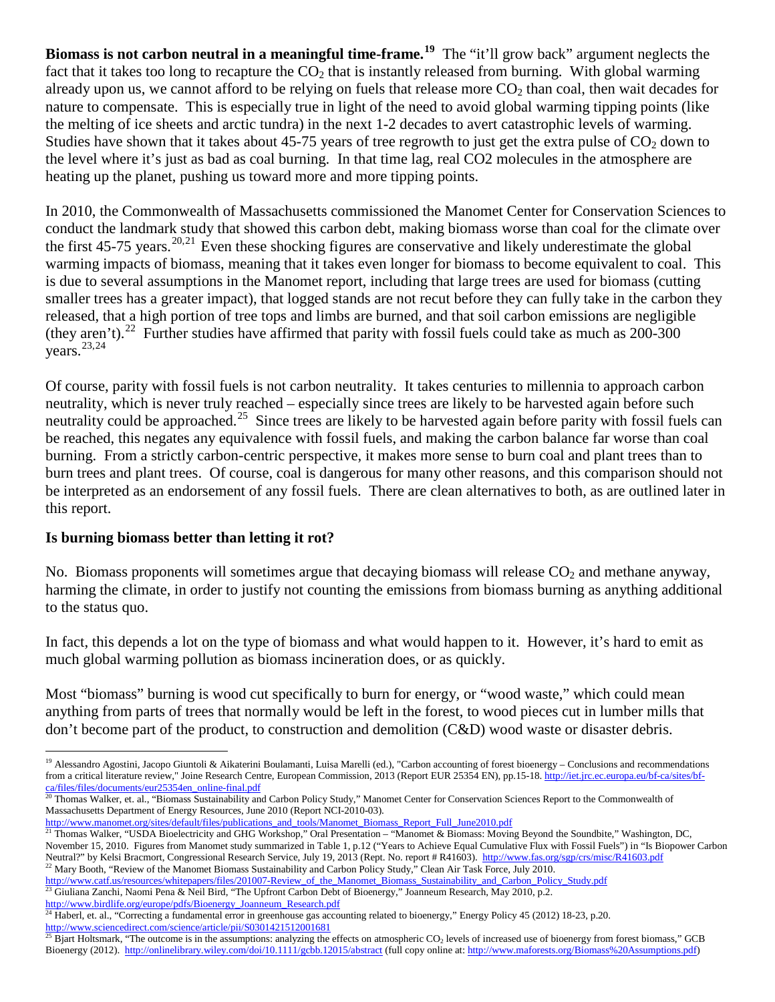**Biomass is not carbon neutral in a meaningful time-frame. [19](#page-3-0)** The "it'll grow back" argument neglects the fact that it takes too long to recapture the  $CO<sub>2</sub>$  that is instantly released from burning. With global warming already upon us, we cannot afford to be relying on fuels that release more  $CO<sub>2</sub>$  than coal, then wait decades for nature to compensate. This is especially true in light of the need to avoid global warming tipping points (like the melting of ice sheets and arctic tundra) in the next 1-2 decades to avert catastrophic levels of warming. Studies have shown that it takes about  $45-75$  years of tree regrowth to just get the extra pulse of  $CO<sub>2</sub>$  down to the level where it's just as bad as coal burning. In that time lag, real CO2 molecules in the atmosphere are heating up the planet, pushing us toward more and more tipping points.

In 2010, the Commonwealth of Massachusetts commissioned the Manomet Center for Conservation Sciences to conduct the landmark study that showed this carbon debt, making biomass worse than coal for the climate over the first 45-75 years.<sup>[20](#page-3-1),21</sup> Even these shocking figures are conservative and likely underestimate the global warming impacts of biomass, meaning that it takes even longer for biomass to become equivalent to coal. This is due to several assumptions in the Manomet report, including that large trees are used for biomass (cutting smaller trees has a greater impact), that logged stands are not recut before they can fully take in the carbon they released, that a high portion of tree tops and limbs are burned, and that soil carbon emissions are negligible (they aren't).<sup>[22](#page-3-3)</sup> Further studies have affirmed that parity with fossil fuels could take as much as 200-300 years.[23,](#page-3-4)[24](#page-3-5)

Of course, parity with fossil fuels is not carbon neutrality. It takes centuries to millennia to approach carbon neutrality, which is never truly reached – especially since trees are likely to be harvested again before such neutrality could be approached.<sup>25</sup> Since trees are likely to be harvested again before parity with fossil fuels can be reached, this negates any equivalence with fossil fuels, and making the carbon balance far worse than coal burning. From a strictly carbon-centric perspective, it makes more sense to burn coal and plant trees than to burn trees and plant trees. Of course, coal is dangerous for many other reasons, and this comparison should not be interpreted as an endorsement of any fossil fuels. There are clean alternatives to both, as are outlined later in this report.

#### **Is burning biomass better than letting it rot?**

No. Biomass proponents will sometimes argue that decaying biomass will release  $CO<sub>2</sub>$  and methane anyway, harming the climate, in order to justify not counting the emissions from biomass burning as anything additional to the status quo.

In fact, this depends a lot on the type of biomass and what would happen to it. However, it's hard to emit as much global warming pollution as biomass incineration does, or as quickly.

Most "biomass" burning is wood cut specifically to burn for energy, or "wood waste," which could mean anything from parts of trees that normally would be left in the forest, to wood pieces cut in lumber mills that don't become part of the product, to construction and demolition (C&D) wood waste or disaster debris.

[http://www.manomet.org/sites/default/files/publications\\_and\\_tools/Manomet\\_Biomass\\_Report\\_Full\\_June2010.pdf](http://www.manomet.org/sites/default/files/publications_and_tools/Manomet_Biomass_Report_Full_June2010.pdf)

<span id="page-3-3"></span><sup>22</sup> Mary Booth, "Review of the Manomet Biomass Sustainability and Carbon Policy Study," Clean Air Task Force, July 2010. [http://www.catf.us/resources/whitepapers/files/201007-Review\\_of\\_the\\_Manomet\\_Biomass\\_Sustainability\\_and\\_Carbon\\_Policy\\_Study.pdf](http://www.catf.us/resources/whitepapers/files/201007-Review_of_the_Manomet_Biomass_Sustainability_and_Carbon_Policy_Study.pdf) <sup>23</sup> Giuliana Zanchi, Naomi Pena & Neil Bird, "The Upfront Carbon Debt of Bioenergy," Joanneum Research, May 2010, p.2.

<span id="page-3-0"></span><sup>&</sup>lt;sup>19</sup> Alessandro Agostini, Jacopo Giuntoli & Aikaterini Boulamanti, Luisa Marelli (ed.), "Carbon accounting of forest bioenergy – Conclusions and recommendations from a critical literature review," Joine Research Centre, European Commission, 2013 (Report EUR 25354 EN), pp.15-18[. http://iet.jrc.ec.europa.eu/bf-ca/sites/bf](http://iet.jrc.ec.europa.eu/bf-ca/sites/bf-ca/files/files/documents/eur25354en_online-final.pdf)[ca/files/files/documents/eur25354en\\_online-final.pdf](http://iet.jrc.ec.europa.eu/bf-ca/sites/bf-ca/files/files/documents/eur25354en_online-final.pdf)

<span id="page-3-1"></span><sup>&</sup>lt;sup>20</sup> Thomas Walker, et. al., "Biomass Sustainability and Carbon Policy Study," Manomet Center for Conservation Sciences Report to the Commonwealth of Massachusetts Department of Energy Resources, June 2010 (Report NCI-2010-03).

<span id="page-3-2"></span><sup>&</sup>lt;sup>21</sup> Thomas Walker, "USDA Bioelectricity and GHG Workshop," Oral Presentation – "Manomet & Biomass: Moving Beyond the Soundbite," Washington, DC, November 15, 2010. Figures from Manomet study summarized in Table 1, p.12 ("Years to Achieve Equal Cumulative Flux with Fossil Fuels") in "Is Biopower Carbon Neutral?" by Kelsi Bracmort, Congressional Research Service, July 19, 2013 (Rept. No. report # R41603).<http://www.fas.org/sgp/crs/misc/R41603.pdf>

<span id="page-3-5"></span><span id="page-3-4"></span>[http://www.birdlife.org/europe/pdfs/Bioenergy\\_Joanneum\\_Research.pdf](http://www.birdlife.org/europe/pdfs/Bioenergy_Joanneum_Research.pdf)<br><sup>24</sup> Haberl, et. al., "Correcting a fundamental error in greenhouse gas accounting related to bioenergy," Energy Policy 45 (2012) 18-23, p.20. <http://www.sciencedirect.com/science/article/pii/S0301421512001681>

<span id="page-3-6"></span><sup>&</sup>lt;sup>25</sup> Bjart Holtsmark, "The outcome is in the assumptions: analyzing the effects on atmospheric  $CO<sub>2</sub>$  levels of increased use of bioenergy from forest biomass," GCB Bioenergy (2012).<http://onlinelibrary.wiley.com/doi/10.1111/gcbb.12015/abstract> (full copy online at[: http://www.maforests.org/Biomass%20Assumptions.pdf\)](http://www.maforests.org/Biomass%20Assumptions.pdf)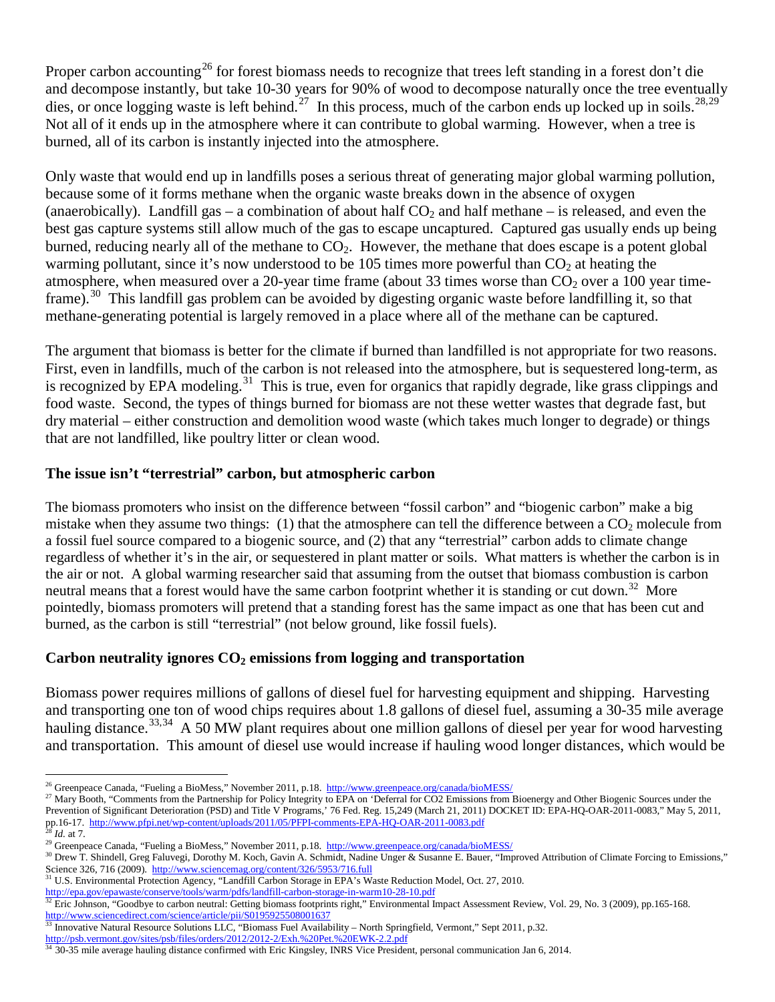Proper carbon accounting<sup>[26](#page-4-0)</sup> for forest biomass needs to recognize that trees left standing in a forest don't die and decompose instantly, but take 10-30 years for 90% of wood to decompose naturally once the tree eventually dies, or once logging waste is left behind.<sup>[27](#page-4-1)</sup> In this process, much of the carbon ends up locked up in soils.<sup>[28,](#page-4-2)[29](#page-4-3)</sup> Not all of it ends up in the atmosphere where it can contribute to global warming. However, when a tree is burned, all of its carbon is instantly injected into the atmosphere.

Only waste that would end up in landfills poses a serious threat of generating major global warming pollution, because some of it forms methane when the organic waste breaks down in the absence of oxygen (anaerobically). Landfill gas – a combination of about half  $CO<sub>2</sub>$  and half methane – is released, and even the best gas capture systems still allow much of the gas to escape uncaptured. Captured gas usually ends up being burned, reducing nearly all of the methane to  $CO<sub>2</sub>$ . However, the methane that does escape is a potent global warming pollutant, since it's now understood to be 105 times more powerful than  $CO<sub>2</sub>$  at heating the atmosphere, when measured over a 20-year time frame (about 33 times worse than  $CO<sub>2</sub>$  over a 100 year timeframe).<sup>30</sup> This landfill gas problem can be avoided by digesting organic waste before landfilling it, so that methane-generating potential is largely removed in a place where all of the methane can be captured.

The argument that biomass is better for the climate if burned than landfilled is not appropriate for two reasons. First, even in landfills, much of the carbon is not released into the atmosphere, but is sequestered long-term, as is recognized by EPA modeling.<sup>[31](#page-4-5)</sup> This is true, even for organics that rapidly degrade, like grass clippings and food waste. Second, the types of things burned for biomass are not these wetter wastes that degrade fast, but dry material – either construction and demolition wood waste (which takes much longer to degrade) or things that are not landfilled, like poultry litter or clean wood.

#### **The issue isn't "terrestrial" carbon, but atmospheric carbon**

The biomass promoters who insist on the difference between "fossil carbon" and "biogenic carbon" make a big mistake when they assume two things: (1) that the atmosphere can tell the difference between a  $CO<sub>2</sub>$  molecule from a fossil fuel source compared to a biogenic source, and (2) that any "terrestrial" carbon adds to climate change regardless of whether it's in the air, or sequestered in plant matter or soils. What matters is whether the carbon is in the air or not. A global warming researcher said that assuming from the outset that biomass combustion is carbon neutral means that a forest would have the same carbon footprint whether it is standing or cut down.<sup>32</sup> More pointedly, biomass promoters will pretend that a standing forest has the same impact as one that has been cut and burned, as the carbon is still "terrestrial" (not below ground, like fossil fuels).

## Carbon neutrality ignores  $CO<sub>2</sub>$  emissions from logging and transportation

Biomass power requires millions of gallons of diesel fuel for harvesting equipment and shipping. Harvesting and transporting one ton of wood chips requires about 1.8 gallons of diesel fuel, assuming a 30-35 mile average hauling distance.<sup>[33](#page-4-7),34</sup> A 50 MW plant requires about one million gallons of diesel per year for wood harvesting and transportation. This amount of diesel use would increase if hauling wood longer distances, which would be

<span id="page-4-5"></span>

<span id="page-4-0"></span><sup>&</sup>lt;sup>26</sup> Greenpeace Canada, "Fueling a BioMess," November 2011, p.18.<http://www.greenpeace.org/canada/bioMESS/>

<span id="page-4-1"></span><sup>&</sup>lt;sup>27</sup> Mary Booth, "Comments from the Partnership for Policy Integrity to EPA on 'Deferral for CO2 Emissions from Bioenergy and Other Biogenic Sources under the Prevention of Significant Deterioration (PSD) and Title V Programs,' 76 Fed. Reg. 15,249 (March 21, 2011) DOCKET ID: EPA-HQ-OAR-2011-0083," May 5, 2011, pp.16-17.<http://www.pfpi.net/wp-content/uploads/2011/05/PFPI-comments-EPA-HQ-OAR-2011-0083.pdf><br><sup>28</sup>M-14.7. http://www.pfpi.net/wp-content/uploads/2011/05/PFPI-comments-EPA-HQ-OAR-2011-0083.pdf

<span id="page-4-3"></span><span id="page-4-2"></span><sup>&</sup>lt;sup>28</sup> *Id.* at 7.<br><sup>29</sup> Greenpeace Canada, "Fueling a BioMess," November 2011, p.18.<http://www.greenpeace.org/canada/bioMESS/>

<span id="page-4-4"></span><sup>&</sup>lt;sup>30</sup> Drew T. Shindell, Greg Faluvegi, Dorothy M. Koch, Gavin A. Schmidt, Nadine Unger & Susanne E. Bauer, "Improved Attribution of Climate Forcing to Emissions," Science 326, 716 (2009).<http://www.sciencemag.org/content/326/5953/716.full><br><sup>31</sup> U.S. Environmental Protection Agency, "Landfill Carbon Storage in EPA's Waste Reduction Model, Oct. 27, 2010.

<http://epa.gov/epawaste/conserve/tools/warm/pdfs/landfill-carbon-storage-in-warm10-28-10.pdf>

<span id="page-4-6"></span><sup>&</sup>lt;sup>32</sup> Eric Johnson, "Goodbye to carbon neutral: Getting biomass footprints right," Environmental Impact Assessment Review, Vol. 29, No. 3 (2009), pp.165-168. <http://www.sciencedirect.com/science/article/pii/S0195925508001637><br><sup>33</sup> Innovative Natural Besource Solutions LLC "Biomess Eval Availab

<span id="page-4-7"></span> $\frac{33}{33}$  Innovative Natural Resource Solutions LLC, "Biomass Fuel Availability – North Springfield, Vermont," Sept 2011, p.32.<br>http://psb.vermont.gov/sites/psb/files/orders/2012/2012-2/Exh.%20Pet.%20EWK-2.2.pdf

<span id="page-4-8"></span> $\frac{1}{34}$  30-35 mile average hauling distance confirmed with Eric Kingsley, INRS Vice President, personal communication Jan 6, 2014.